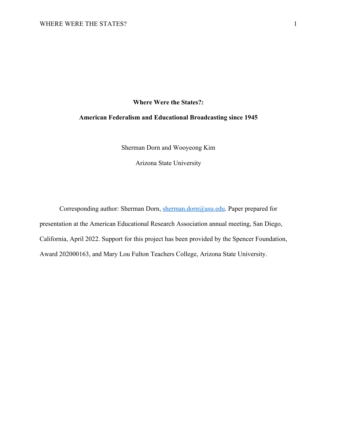# **Where Were the States?:**

# **American Federalism and Educational Broadcasting since 1945**

Sherman Dorn and Wooyeong Kim

Arizona State University

Corresponding author: Sherman Dorn, sherman.dorn@asu.edu. Paper prepared for presentation at the American Educational Research Association annual meeting, San Diego, California, April 2022. Support for this project has been provided by the Spencer Foundation, Award 202000163, and Mary Lou Fulton Teachers College, Arizona State University.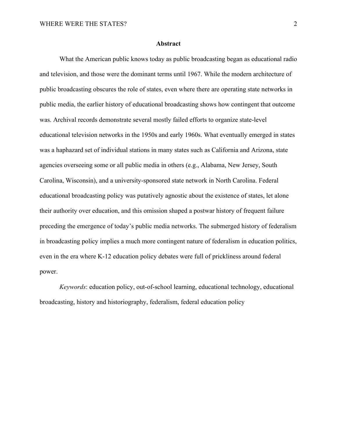#### **Abstract**

What the American public knows today as public broadcasting began as educational radio and television, and those were the dominant terms until 1967. While the modern architecture of public broadcasting obscures the role of states, even where there are operating state networks in public media, the earlier history of educational broadcasting shows how contingent that outcome was. Archival records demonstrate several mostly failed efforts to organize state-level educational television networks in the 1950s and early 1960s. What eventually emerged in states was a haphazard set of individual stations in many states such as California and Arizona, state agencies overseeing some or all public media in others (e.g., Alabama, New Jersey, South Carolina, Wisconsin), and a university-sponsored state network in North Carolina. Federal educational broadcasting policy was putatively agnostic about the existence of states, let alone their authority over education, and this omission shaped a postwar history of frequent failure preceding the emergence of today's public media networks. The submerged history of federalism in broadcasting policy implies a much more contingent nature of federalism in education politics, even in the era where K-12 education policy debates were full of prickliness around federal power.

*Keywords*: education policy, out-of-school learning, educational technology, educational broadcasting, history and historiography, federalism, federal education policy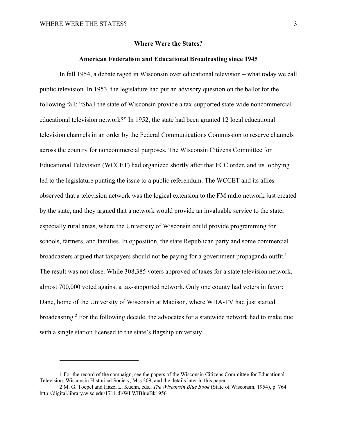# **Where Were the States?**

## **American Federalism and Educational Broadcasting since 1945**

In fall 1954, a debate raged in Wisconsin over educational television – what today we call public television. In 1953, the legislature had put an advisory question on the ballot for the following fall: "Shall the state of Wisconsin provide a tax-supported state-wide noncommercial educational television network?" In 1952, the state had been granted 12 local educational television channels in an order by the Federal Communications Commission to reserve channels across the country for noncommercial purposes. The Wisconsin Citizens Committee for Educational Television (WCCET) had organized shortly after that FCC order, and its lobbying led to the legislature punting the issue to a public referendum. The WCCET and its allies observed that a television network was the logical extension to the FM radio network just created by the state, and they argued that a network would provide an invaluable service to the state, especially rural areas, where the University of Wisconsin could provide programming for schools, farmers, and families. In opposition, the state Republican party and some commercial broadcasters argued that taxpayers should not be paying for a government propaganda outfit.<sup>1</sup> The result was not close. While 308,385 voters approved of taxes for a state television network, almost 700,000 voted against a tax-supported network. Only one county had voters in favor: Dane, home of the University of Wisconsin at Madison, where WHA-TV had just started broadcasting.2 For the following decade, the advocates for a statewide network had to make due with a single station licensed to the state's flagship university.

<sup>1</sup> For the record of the campaign, see the papers of the Wisconsin Citizens Committee for Educational Television, Wisconsin Historical Society, Mss 209, and the details later in this paper.

<sup>2</sup> M. G. Toepel and Hazel L. Kuehn, eds., *The Wisconsin Blue Book* (State of Wisconsin, 1954), p. 764. http://digital.library.wisc.edu/1711.dl/WI.WIBlueBk1956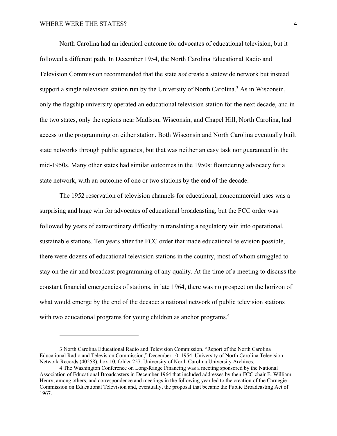North Carolina had an identical outcome for advocates of educational television, but it followed a different path. In December 1954, the North Carolina Educational Radio and Television Commission recommended that the state *not* create a statewide network but instead support a single television station run by the University of North Carolina.<sup>3</sup> As in Wisconsin, only the flagship university operated an educational television station for the next decade, and in the two states, only the regions near Madison, Wisconsin, and Chapel Hill, North Carolina, had access to the programming on either station. Both Wisconsin and North Carolina eventually built state networks through public agencies, but that was neither an easy task nor guaranteed in the mid-1950s. Many other states had similar outcomes in the 1950s: floundering advocacy for a state network, with an outcome of one or two stations by the end of the decade.

The 1952 reservation of television channels for educational, noncommercial uses was a surprising and huge win for advocates of educational broadcasting, but the FCC order was followed by years of extraordinary difficulty in translating a regulatory win into operational, sustainable stations. Ten years after the FCC order that made educational television possible, there were dozens of educational television stations in the country, most of whom struggled to stay on the air and broadcast programming of any quality. At the time of a meeting to discuss the constant financial emergencies of stations, in late 1964, there was no prospect on the horizon of what would emerge by the end of the decade: a national network of public television stations with two educational programs for young children as anchor programs.<sup>4</sup>

<sup>3</sup> North Carolina Educational Radio and Television Commission. "Report of the North Carolina Educational Radio and Television Commission," December 10, 1954. University of North Carolina Television Network Records (40258), box 10, folder 257. University of North Carolina University Archives.

<sup>4</sup> The Washington Conference on Long-Range Financing was a meeting sponsored by the National Association of Educational Broadcasters in December 1964 that included addresses by then-FCC chair E. William Henry, among others, and correspondence and meetings in the following year led to the creation of the Carnegie Commission on Educational Television and, eventually, the proposal that became the Public Broadcasting Act of 1967.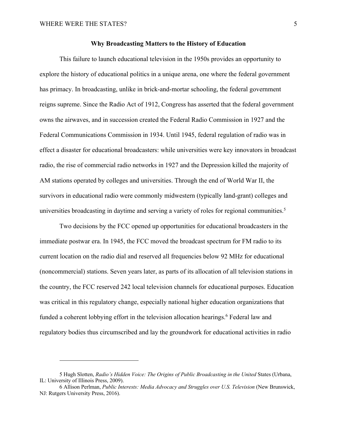## **Why Broadcasting Matters to the History of Education**

This failure to launch educational television in the 1950s provides an opportunity to explore the history of educational politics in a unique arena, one where the federal government has primacy. In broadcasting, unlike in brick-and-mortar schooling, the federal government reigns supreme. Since the Radio Act of 1912, Congress has asserted that the federal government owns the airwaves, and in succession created the Federal Radio Commission in 1927 and the Federal Communications Commission in 1934. Until 1945, federal regulation of radio was in effect a disaster for educational broadcasters: while universities were key innovators in broadcast radio, the rise of commercial radio networks in 1927 and the Depression killed the majority of AM stations operated by colleges and universities. Through the end of World War II, the survivors in educational radio were commonly midwestern (typically land-grant) colleges and universities broadcasting in daytime and serving a variety of roles for regional communities.<sup>5</sup>

Two decisions by the FCC opened up opportunities for educational broadcasters in the immediate postwar era. In 1945, the FCC moved the broadcast spectrum for FM radio to its current location on the radio dial and reserved all frequencies below 92 MHz for educational (noncommercial) stations. Seven years later, as parts of its allocation of all television stations in the country, the FCC reserved 242 local television channels for educational purposes. Education was critical in this regulatory change, especially national higher education organizations that funded a coherent lobbying effort in the television allocation hearings.<sup>6</sup> Federal law and regulatory bodies thus circumscribed and lay the groundwork for educational activities in radio

<sup>5</sup> Hugh Slotten, *Radio's Hidden Voice: The Origins of Public Broadcasting in the United* States (Urbana, IL: University of Illinois Press, 2009).

<sup>6</sup> Allison Perlman, *Public Interests: Media Advocacy and Struggles over U.S. Television* (New Brunswick, NJ: Rutgers University Press, 2016).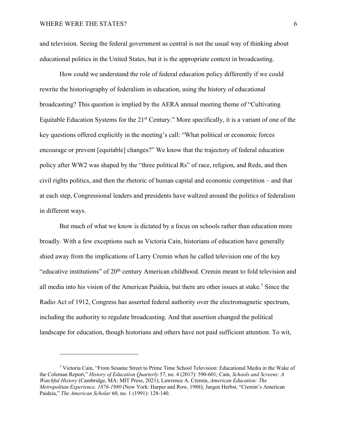and television. Seeing the federal government as central is not the usual way of thinking about educational politics in the United States, but it is the appropriate context in broadcasting.

How could we understand the role of federal education policy differently if we could rewrite the historiography of federalism in education, using the history of educational broadcasting? This question is implied by the AERA annual meeting theme of "Cultivating Equitable Education Systems for the 21<sup>st</sup> Century." More specifically, it is a variant of one of the key questions offered explicitly in the meeting's call: "What political or economic forces encourage or prevent [equitable] changes?" We know that the trajectory of federal education policy after WW2 was shaped by the "three political Rs" of race, religion, and Reds, and then civil rights politics, and then the rhetoric of human capital and economic competition – and that at each step, Congressional leaders and presidents have waltzed around the politics of federalism in different ways.

But much of what we know is dictated by a focus on schools rather than education more broadly. With a few exceptions such as Victoria Cain, historians of education have generally shied away from the implications of Larry Cremin when he called television one of the key "educative institutions" of 20<sup>th</sup> century American childhood. Cremin meant to fold television and all media into his vision of the American Paideia, but there are other issues at stake.7 Since the Radio Act of 1912, Congress has asserted federal authority over the electromagnetic spectrum, including the authority to regulate broadcasting. And that assertion changed the political landscape for education, though historians and others have not paid sufficient attention. To wit,

<sup>7</sup> Victoria Cain, "From Sesame Street to Prime Time School Television: Educational Media in the Wake of the Coleman Report," *History of Education Quarterly* 57, no. 4 (2017): 590-601; Cain, *Schools and Screens: A Watchful History* (Cambridge, MA: MIT Press, 2021); Lawrence A. Cremin, *American Education: The Metropolitan Experience, 1876-1980* (New York: Harper and Row, 1988); Jurgen Herbst, "Cremin's American Paideia," *The American Scholar* 60, no. 1 (1991): 128-140.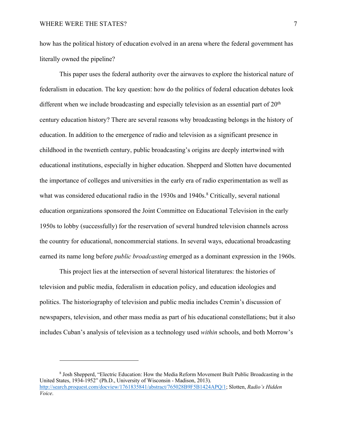how has the political history of education evolved in an arena where the federal government has literally owned the pipeline?

This paper uses the federal authority over the airwaves to explore the historical nature of federalism in education. The key question: how do the politics of federal education debates look different when we include broadcasting and especially television as an essential part of  $20<sup>th</sup>$ century education history? There are several reasons why broadcasting belongs in the history of education. In addition to the emergence of radio and television as a significant presence in childhood in the twentieth century, public broadcasting's origins are deeply intertwined with educational institutions, especially in higher education. Shepperd and Slotten have documented the importance of colleges and universities in the early era of radio experimentation as well as what was considered educational radio in the 1930s and 1940s.<sup>8</sup> Critically, several national education organizations sponsored the Joint Committee on Educational Television in the early 1950s to lobby (successfully) for the reservation of several hundred television channels across the country for educational, noncommercial stations. In several ways, educational broadcasting earned its name long before *public broadcasting* emerged as a dominant expression in the 1960s.

This project lies at the intersection of several historical literatures: the histories of television and public media, federalism in education policy, and education ideologies and politics. The historiography of television and public media includes Cremin's discussion of newspapers, television, and other mass media as part of his educational constellations; but it also includes Cuban's analysis of television as a technology used *within* schools, and both Morrow's

<sup>8</sup> Josh Shepperd, "Electric Education: How the Media Reform Movement Built Public Broadcasting in the United States, 1934-1952" (Ph.D., University of Wisconsin - Madison, 2013). http://search.proquest.com/docview/1761835841/abstract/765028B9F5B1424APQ/1; Slotten, *Radio's Hidden Voice*.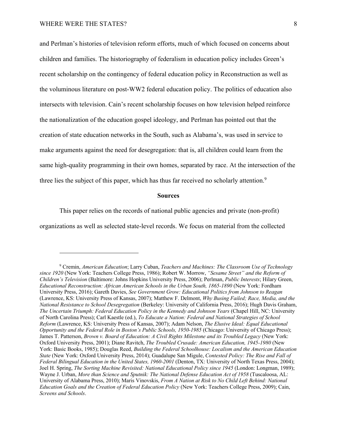and Perlman's histories of television reform efforts, much of which focused on concerns about children and families. The historiography of federalism in education policy includes Green's recent scholarship on the contingency of federal education policy in Reconstruction as well as the voluminous literature on post-WW2 federal education policy. The politics of education also intersects with television. Cain's recent scholarship focuses on how television helped reinforce the nationalization of the education gospel ideology, and Perlman has pointed out that the creation of state education networks in the South, such as Alabama's, was used in service to make arguments against the need for desegregation: that is, all children could learn from the same high-quality programming in their own homes, separated by race. At the intersection of the three lies the subject of this paper, which has thus far received no scholarly attention.<sup>9</sup>

# **Sources**

This paper relies on the records of national public agencies and private (non-profit) organizations as well as selected state-level records. We focus on material from the collected

<sup>9</sup> Cremin, *American Education*; Larry Cuban, *Teachers and Machines: The Classroom Use of Technology since 1920* (New York: Teachers College Press, 1986); Robert W. Morrow, *"Sesame Street" and the Reform of Children's Television* (Baltimore: Johns Hopkins University Press, 2006); Perlman, *Public Interests*; Hilary Green, *Educational Reconstruction: African American Schools in the Urban South, 1865-1890* (New York: Fordham University Press, 2016); Gareth Davies, *See Government Grow: Educational Politics from Johnson to Reagan*  (Lawrence, KS: University Press of Kansas, 2007); Matthew F. Delmont, *Why Busing Failed; Race, Media, and the National Resistance to School Desegregation* (Berkeley: University of California Press, 2016); Hugh Davis Graham, *The Uncertain Triumph: Federal Education Policy in the Kennedy and Johnson Years* (Chapel Hill, NC: University of North Carolina Press); Carl Kaestle (ed.), *To Educate a Nation: Federal and National Strategies of School Reform* (Lawrence, KS: University Press of Kansas, 2007); Adam Nelson, *The Elusive Ideal: Equal Educational Opportunity and the Federal Role in Boston's Public Schools, 1950-1985* (Chicago: University of Chicago Press); James T. Patterson, *Brown v. Board of Education: A Civil Rights Milestone and its Troubled Legacy* (New York: Oxford University Press, 2001); Diane Ravitch, *The Troubled Crusade: American Education, 1945-1980* (New York: Basic Books, 1985); Douglas Reed, *Building the Federal Schoolhouse: Localism and the American Education State* (New York: Oxford University Press, 2014); Guadalupe San Migule, *Contested Policy: The Rise and Fall of Federal Bilingual Education in the United States, 1960-2001* (Denton, TX: University of North Texas Press, 2004); Joel H. Spring, *The Sorting Machine Revisited: National Educational Policy since 1945* (London: Longman, 1989); Wayne J. Urban, *More than Science and Sputnik: The National Defense Education Act of 1958* (Tuscaloosa, AL: University of Alabama Press, 2010); Maris Vinovskis, *From A Nation at Risk to No Child Left Behind: National Education Goals and the Creation of Federal Education Policy* (New York: Teachers College Press, 2009); Cain, *Screens and Schools*.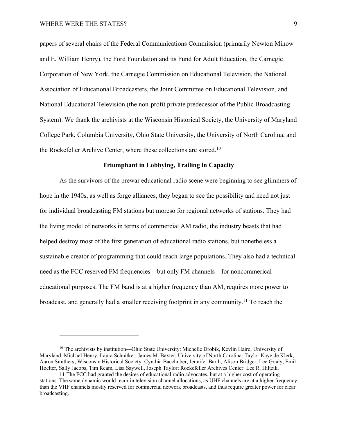papers of several chairs of the Federal Communications Commission (primarily Newton Minow and E. William Henry), the Ford Foundation and its Fund for Adult Education, the Carnegie Corporation of New York, the Carnegie Commission on Educational Television, the National Association of Educational Broadcasters, the Joint Committee on Educational Television, and National Educational Television (the non-profit private predecessor of the Public Broadcasting System). We thank the archivists at the Wisconsin Historical Society, the University of Maryland College Park, Columbia University, Ohio State University, the University of North Carolina, and the Rockefeller Archive Center, where these collections are stored.<sup>10</sup>

# **Triumphant in Lobbying, Trailing in Capacity**

As the survivors of the prewar educational radio scene were beginning to see glimmers of hope in the 1940s, as well as forge alliances, they began to see the possibility and need not just for individual broadcasting FM stations but moreso for regional networks of stations. They had the living model of networks in terms of commercial AM radio, the industry beasts that had helped destroy most of the first generation of educational radio stations, but nonetheless a sustainable creator of programming that could reach large populations. They also had a technical need as the FCC reserved FM frequencies – but only FM channels – for noncommerical educational purposes. The FM band is at a higher frequency than AM, requires more power to broadcast, and generally had a smaller receiving footprint in any community.11 To reach the

<sup>&</sup>lt;sup>10</sup> The archivists by institution—Ohio State University: Michelle Drobik, Kevlin Haire; University of Maryland: Michael Henry, Laura Schnitker, James M. Baxter; University of North Carolina: Taylor Kaye de Klerk, Aaron Smithers; Wisconsin Historical Society: Cynthia Bacchuber, Jennifer Barth, Alison Bridger, Lee Grady, Emil Hoelter, Sally Jacobs, Tim Ream, Lisa Saywell, Joseph Taylor; Rockefeller Archives Center: Lee R. Hiltzik.

<sup>11</sup> The FCC had granted the desires of educational radio advocates, but at a higher cost of operating stations. The same dynamic would recur in television channel allocations, as UHF channels are at a higher frequency than the VHF channels mostly reserved for commercial network broadcasts, and thus require greater power for clear broadcasting.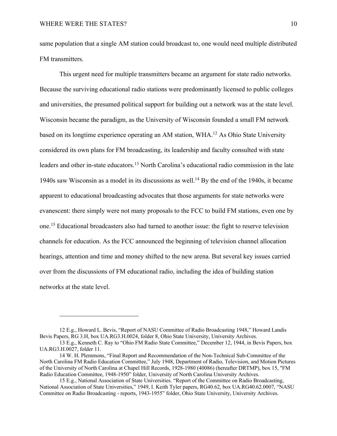same population that a single AM station could broadcast to, one would need multiple distributed FM transmitters.

This urgent need for multiple transmitters became an argument for state radio networks. Because the surviving educational radio stations were predominantly licensed to public colleges and universities, the presumed political support for building out a network was at the state level. Wisconsin became the paradigm, as the University of Wisconsin founded a small FM network based on its longtime experience operating an AM station, WHA.12 As Ohio State University considered its own plans for FM broadcasting, its leadership and faculty consulted with state leaders and other in-state educators.13 North Carolina's educational radio commission in the late 1940s saw Wisconsin as a model in its discussions as well.14 By the end of the 1940s, it became apparent to educational broadcasting advocates that those arguments for state networks were evanescent: there simply were not many proposals to the FCC to build FM stations, even one by one.15 Educational broadcasters also had turned to another issue: the fight to reserve television channels for education. As the FCC announced the beginning of television channel allocation hearings, attention and time and money shifted to the new arena. But several key issues carried over from the discussions of FM educational radio, including the idea of building station networks at the state level.

<sup>12</sup> E.g., Howard L. Bevis, "Report of NASU Committee of Radio Broadcasting 1948," Howard Landis Bevis Papers, RG 3.H, box UA.RG3.H.0024, folder 8, Ohio State University, University Archives.

<sup>13</sup> E.g., Kenneth C. Ray to "Ohio FM Radio State Committee," December 12, 1944, in Bevis Papers, box UA.RG3.H.0027, folder 11.

<sup>14</sup> W. H. Plemmons, "Final Report and Recommendation of the Non-Technical Sub-Committee of the North Carolina FM Radio Education Committee," July 1948, Department of Radio, Television, and Motion Pictures of the University of North Carolina at Chapel Hill Records, 1928-1980 (40086) (hereafter DRTMP), box 15, "FM Radio Education Committee, 1948-1950" folder, University of North Carolina University Archives.

<sup>15</sup> E.g., National Association of State Universities. "Report of the Committee on Radio Broadcasting, National Association of State Universities," 1949, I. Keith Tyler papers, RG40.62, box UA.RG40.62.0007, "NASU Committee on Radio Broadcasting - reports, 1943-1955" folder, Ohio State University, University Archives.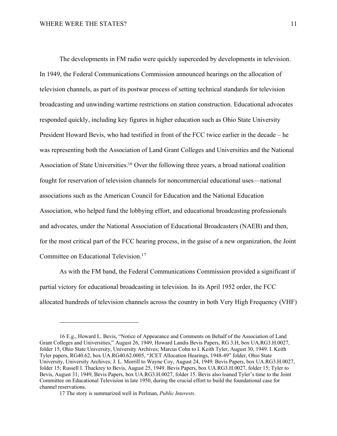The developments in FM radio were quickly superceded by developments in television. In 1949, the Federal Communications Commission announced hearings on the allocation of television channels, as part of its postwar process of setting technical standards for television broadcasting and unwinding wartime restrictions on station construction. Educational advocates responded quickly, including key figures in higher education such as Ohio State University President Howard Bevis, who had testified in front of the FCC twice earlier in the decade – he was representing both the Association of Land Grant Colleges and Universities and the National Association of State Universities.<sup>16</sup> Over the following three years, a broad national coalition fought for reservation of television channels for noncommercial educational uses—national associations such as the American Council for Education and the National Education Association, who helped fund the lobbying effort, and educational broadcasting professionals and advocates, under the National Association of Educational Broadcasters (NAEB) and then, for the most critical part of the FCC hearing process, in the guise of a new organization, the Joint Committee on Educational Television.17

As with the FM band, the Federal Communications Commission provided a significant if partial victory for educational broadcasting in television. In its April 1952 order, the FCC allocated hundreds of television channels across the country in both Very High Frequency (VHF)

<sup>16</sup> E.g., Howard L. Bevis, "Notice of Appearance and Comments on Behalf of the Association of Land Grant Colleges and Universities," August 26, 1949, Howard Landis Bevis Papers, RG 3.H, box UA.RG3.H.0027, folder 15, Ohio State University, University Archives; Marcus Cohn to I. Keith Tyler, August 30, 1949. I. Keith Tyler papers, RG40.62, box UA.RG40.62.0005, "JCET Allocation Hearings, 1948-49" folder, Ohio State University, University Archives; J. L. Morrill to Wayne Coy, August 24, 1949. Bevis Papers, box UA.RG3.H.0027, folder 15; Russell I. Thackrey to Bevis, August 25, 1949. Bevis Papers, box UA.RG3.H.0027, folder 15; Tyler to Bevis, August 31, 1949, Bevis Papers, box UA.RG3.H.0027, folder 15. Bevis also loaned Tyler's time to the Joint Committee on Educational Television in late 1950, during the crucial effort to build the foundational case for channel reservations.

<sup>17</sup> The story is summarized well in Perlman, *Public Interests*.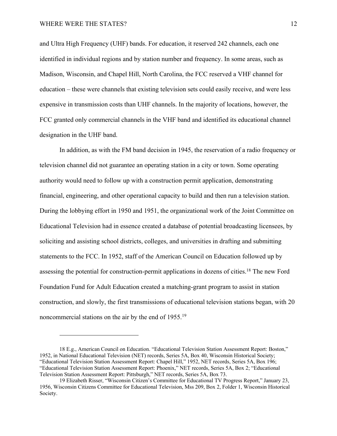and Ultra High Frequency (UHF) bands. For education, it reserved 242 channels, each one identified in individual regions and by station number and frequency. In some areas, such as Madison, Wisconsin, and Chapel Hill, North Carolina, the FCC reserved a VHF channel for education – these were channels that existing television sets could easily receive, and were less expensive in transmission costs than UHF channels. In the majority of locations, however, the FCC granted only commercial channels in the VHF band and identified its educational channel designation in the UHF band.

In addition, as with the FM band decision in 1945, the reservation of a radio frequency or television channel did not guarantee an operating station in a city or town. Some operating authority would need to follow up with a construction permit application, demonstrating financial, engineering, and other operational capacity to build and then run a television station. During the lobbying effort in 1950 and 1951, the organizational work of the Joint Committee on Educational Television had in essence created a database of potential broadcasting licensees, by soliciting and assisting school districts, colleges, and universities in drafting and submitting statements to the FCC. In 1952, staff of the American Council on Education followed up by assessing the potential for construction-permit applications in dozens of cities.18 The new Ford Foundation Fund for Adult Education created a matching-grant program to assist in station construction, and slowly, the first transmissions of educational television stations began, with 20 noncommercial stations on the air by the end of 1955.<sup>19</sup>

<sup>18</sup> E.g., American Council on Education. "Educational Television Station Assessment Report: Boston," 1952, in National Educational Television (NET) records, Series 5A, Box 40, Wisconsin Historical Society; "Educational Television Station Assessment Report: Chapel Hill," 1952, NET records, Series 5A, Box 196; "Educational Television Station Assessment Report: Phoenix," NET records, Series 5A, Box 2; "Educational Television Station Assessment Report: Pittsburgh," NET records, Series 5A, Box 73.

<sup>19</sup> Elizabeth Risser, "Wisconsin Citizen's Committee for Educational TV Progress Report," January 23, 1956, Wisconsin Citizens Committee for Educational Television, Mss 209, Box 2, Folder 1, Wisconsin Historical Society.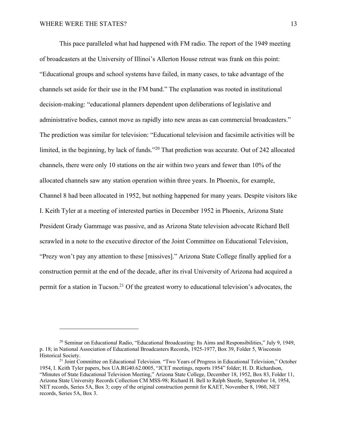This pace paralleled what had happened with FM radio. The report of the 1949 meeting of broadcasters at the University of Illinoi's Allerton House retreat was frank on this point: "Educational groups and school systems have failed, in many cases, to take advantage of the channels set aside for their use in the FM band." The explanation was rooted in institutional decision-making: "educational planners dependent upon deliberations of legislative and administrative bodies, cannot move as rapidly into new areas as can commercial broadcasters." The prediction was similar for television: "Educational television and facsimile activities will be limited, in the beginning, by lack of funds."20 That prediction was accurate. Out of 242 allocated channels, there were only 10 stations on the air within two years and fewer than 10% of the allocated channels saw any station operation within three years. In Phoenix, for example, Channel 8 had been allocated in 1952, but nothing happened for many years. Despite visitors like I. Keith Tyler at a meeting of interested parties in December 1952 in Phoenix, Arizona State President Grady Gammage was passive, and as Arizona State television advocate Richard Bell scrawled in a note to the executive director of the Joint Committee on Educational Television, "Prezy won't pay any attention to these [missives]." Arizona State College finally applied for a construction permit at the end of the decade, after its rival University of Arizona had acquired a permit for a station in Tucson.<sup>21</sup> Of the greatest worry to educational television's advocates, the

<sup>&</sup>lt;sup>20</sup> Seminar on Educational Radio, "Educational Broadcasting: Its Aims and Responsibilities," July 9, 1949, p. 18; in National Association of Educational Broadcasters Records, 1925-1977, Box 39, Folder 5, Wisconsin Historical Society.

<sup>&</sup>lt;sup>21</sup> Joint Committee on Educational Television. "Two Years of Progress in Educational Television," October 1954, I. Keith Tyler papers, box UA.RG40.62.0005, "JCET meetings, reports 1954" folder; H. D. Richardson, "Minutes of State Educational Television Meeting," Arizona State College, December 18, 1952, Box 83, Folder 11, Arizona State University Records Collection CM MSS-98; Richard H. Bell to Ralph Steetle, September 14, 1954, NET records, Series 5A, Box 3; copy of the original construction permit for KAET, November 8, 1960, NET records, Series 5A, Box 3.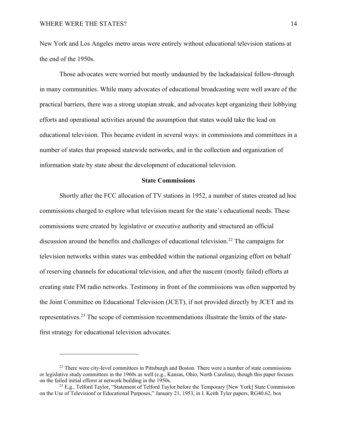New York and Los Angeles metro areas were entirely without educational television stations at the end of the 1950s.

Those advocates were worried but mostly undaunted by the lackadaisical follow-through in many communities. While many advocates of educational broadcasting were well aware of the practical barriers, there was a strong utopian streak, and advocates kept organizing their lobbying efforts and operational activities around the assumption that states would take the lead on educational television. This became evident in several ways: in commissions and committees in a number of states that proposed statewide networks, and in the collection and organization of information state by state about the development of educational television.

### **State Commissions**

Shortly after the FCC allocation of TV stations in 1952, a number of states created ad hoc commissions charged to explore what television meant for the state's educational needs. These commissions were created by legislative or executive authority and structured an official discussion around the benefits and challenges of educational television.<sup>22</sup> The campaigns for television networks within states was embedded within the national organizing effort on behalf of reserving channels for educational television, and after the nascent (mostly failed) efforts at creating state FM radio networks. Testimony in front of the commissions was often supported by the Joint Committee on Educational Television (JCET), if not provided directly by JCET and its representatives.23 The scope of commission recommendations illustrate the limits of the statefirst strategy for educational television advocates.

<sup>&</sup>lt;sup>22</sup> There were city-level committees in Pittsburgh and Boston. There were a number of state commissions or legislative study committees in the 1960s as well (e.g., Kansas, Ohio, North Carolina), though this paper focuses on the failed initial efforst at network building in the 1950s.

<sup>&</sup>lt;sup>23</sup> E.g., Telford Taylor, "Statement of Telford Taylor before the Temporary [New York] State Commission on the Use of Televisionf or Educational Purposes," January 21, 1953, in I. Keith Tyler papers, RG40.62, box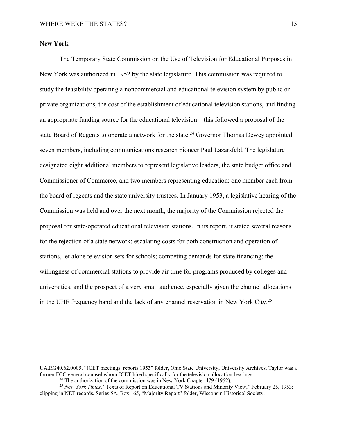# **New York**

The Temporary State Commission on the Use of Television for Educational Purposes in New York was authorized in 1952 by the state legislature. This commission was required to study the feasibility operating a noncommercial and educational television system by public or private organizations, the cost of the establishment of educational television stations, and finding an appropriate funding source for the educational television—this followed a proposal of the state Board of Regents to operate a network for the state.<sup>24</sup> Governor Thomas Dewey appointed seven members, including communications research pioneer Paul Lazarsfeld. The legislature designated eight additional members to represent legislative leaders, the state budget office and Commissioner of Commerce, and two members representing education: one member each from the board of regents and the state university trustees. In January 1953, a legislative hearing of the Commission was held and over the next month, the majority of the Commission rejected the proposal for state-operated educational television stations. In its report, it stated several reasons for the rejection of a state network: escalating costs for both construction and operation of stations, let alone television sets for schools; competing demands for state financing; the willingness of commercial stations to provide air time for programs produced by colleges and universities; and the prospect of a very small audience, especially given the channel allocations in the UHF frequency band and the lack of any channel reservation in New York City.<sup>25</sup>

UA.RG40.62.0005, "JCET meetings, reports 1953" folder, Ohio State University, University Archives. Taylor was a former FCC general counsel whom JCET hired specifically for the television allocation hearings.

<sup>&</sup>lt;sup>24</sup> The authorization of the commission was in New York Chapter 479 (1952).<br><sup>25</sup> New York Times, "Texts of Report on Educational TV Stations and Minority View," February 25, 1953; clipping in NET records, Series 5A, Box 165, "Majority Report" folder, Wisconsin Historical Society.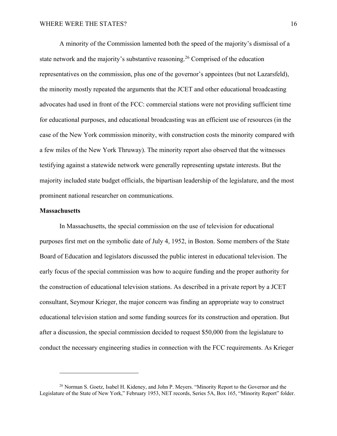A minority of the Commission lamented both the speed of the majority's dismissal of a state network and the majority's substantive reasoning.<sup>26</sup> Comprised of the education representatives on the commission, plus one of the governor's appointees (but not Lazarsfeld), the minority mostly repeated the arguments that the JCET and other educational broadcasting advocates had used in front of the FCC: commercial stations were not providing sufficient time for educational purposes, and educational broadcasting was an efficient use of resources (in the case of the New York commission minority, with construction costs the minority compared with a few miles of the New York Thruway). The minority report also observed that the witnesses testifying against a statewide network were generally representing upstate interests. But the majority included state budget officials, the bipartisan leadership of the legislature, and the most prominent national researcher on communications.

# **Massachusetts**

In Massachusetts, the special commission on the use of television for educational purposes first met on the symbolic date of July 4, 1952, in Boston. Some members of the State Board of Education and legislators discussed the public interest in educational television. The early focus of the special commission was how to acquire funding and the proper authority for the construction of educational television stations. As described in a private report by a JCET consultant, Seymour Krieger, the major concern was finding an appropriate way to construct educational television station and some funding sources for its construction and operation. But after a discussion, the special commission decided to request \$50,000 from the legislature to conduct the necessary engineering studies in connection with the FCC requirements. As Krieger

<sup>&</sup>lt;sup>26</sup> Norman S. Goetz, Isabel H. Kideney, and John P. Meyers. "Minority Report to the Governor and the Legislature of the State of New York," February 1953, NET records, Series 5A, Box 165, "Minority Report" folder.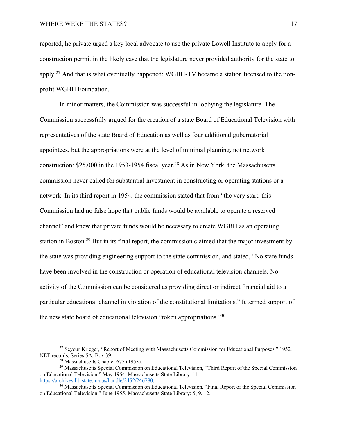reported, he private urged a key local advocate to use the private Lowell Institute to apply for a construction permit in the likely case that the legislature never provided authority for the state to apply.27 And that is what eventually happened: WGBH-TV became a station licensed to the nonprofit WGBH Foundation.

In minor matters, the Commission was successful in lobbying the legislature. The Commission successfully argued for the creation of a state Board of Educational Television with representatives of the state Board of Education as well as four additional gubernatorial appointees, but the appropriations were at the level of minimal planning, not network construction:  $$25,000$  in the 1953-1954 fiscal year.<sup>28</sup> As in New York, the Massachusetts commission never called for substantial investment in constructing or operating stations or a network. In its third report in 1954, the commission stated that from "the very start, this Commission had no false hope that public funds would be available to operate a reserved channel" and knew that private funds would be necessary to create WGBH as an operating station in Boston.29 But in its final report, the commission claimed that the major investment by the state was providing engineering support to the state commission, and stated, "No state funds have been involved in the construction or operation of educational television channels. No activity of the Commission can be considered as providing direct or indirect financial aid to a particular educational channel in violation of the constitutional limitations." It termed support of the new state board of educational television "token appropriations."30

<sup>&</sup>lt;sup>27</sup> Seyour Krieger, "Report of Meeting with Massachusetts Commission for Educational Purposes," 1952, NET records, Series 5A, Box 39.<br><sup>28</sup> Massachusetts Chapter 675 (1953).

<sup>&</sup>lt;sup>29</sup> Massachusetts Special Commission on Educational Television, "Third Report of the Special Commission on Educational Television," May 1954, Massachusetts State Library: 11. https://archives.lib.state.ma.us/handle/2452/246780.

<sup>&</sup>lt;sup>30</sup> Massachusetts Special Commission on Educational Television, "Final Report of the Special Commission on Educational Television," June 1955, Massachusetts State Library: 5, 9, 12.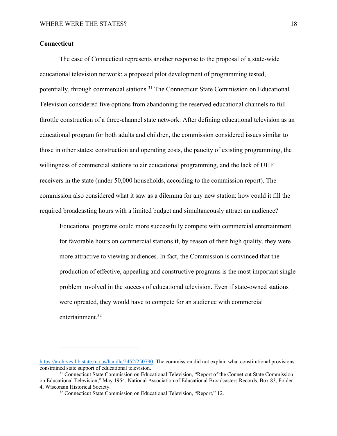# **Connecticut**

The case of Connecticut represents another response to the proposal of a state-wide educational television network: a proposed pilot development of programming tested, potentially, through commercial stations.<sup>31</sup> The Connecticut State Commission on Educational Television considered five options from abandoning the reserved educational channels to fullthrottle construction of a three-channel state network. After defining educational television as an educational program for both adults and children, the commission considered issues similar to those in other states: construction and operating costs, the paucity of existing programming, the willingness of commercial stations to air educational programming, and the lack of UHF receivers in the state (under 50,000 households, according to the commission report). The commission also considered what it saw as a dilemma for any new station: how could it fill the required broadcasting hours with a limited budget and simultaneously attract an audience?

Educational programs could more successfully compete with commercial entertainment for favorable hours on commercial stations if, by reason of their high quality, they were more attractive to viewing audiences. In fact, the Commission is convinced that the production of effective, appealing and constructive programs is the most important single problem involved in the success of educational television. Even if state-owned stations were opreated, they would have to compete for an audience with commercial entertainment.<sup>32</sup>

https://archives.lib.state.ma.us/handle/2452/250790. The commission did not explain what constitutional provisions constrained state support of educational television.<br><sup>31</sup> Connecticut State Commission on Educational Television, "Report of the Conneticut State Commission

on Educational Television," May 1954, National Association of Educational Broadcasters Records, Box 83, Folder 4, Wisconsin Historical Society.

<sup>&</sup>lt;sup>32</sup> Connecticut State Commission on Educational Television, "Report," 12.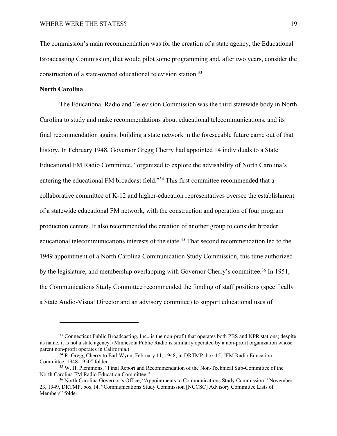The commission's main recommendation was for the creation of a state agency, the Educational Broadcasting Commission, that would pilot some programming and, after two years, consider the construction of a state-owned educational television station.33

# **North Carolina**

The Educational Radio and Television Commission was the third statewide body in North Carolina to study and make recommendations about educational telecommunications, and its final recommendation against building a state network in the foreseeable future came out of that history. In February 1948, Governor Gregg Cherry had appointed 14 individuals to a State Educational FM Radio Committee, "organized to explore the advisability of North Carolina's entering the educational FM broadcast field."34 This first committee recommended that a collaborative committee of K-12 and higher-education representatives oversee the establishment of a statewide educational FM network, with the construction and operation of four program production centers. It also recommended the creation of another group to consider broader educational telecommunications interests of the state.<sup>35</sup> That second recommendation led to the 1949 appointment of a North Carolina Communication Study Commission, this time authorized by the legislature, and membership overlapping with Governor Cherry's committee.<sup>36</sup> In 1951, the Communications Study Committee recommended the funding of staff positions (specifically a State Audio-Visual Director and an advisory commitee) to support educational uses of

<sup>&</sup>lt;sup>33</sup> Connecticut Public Broadcasting, Inc., is the non-profit that operates both PBS and NPR stations; despite its name, it is not a state agency. (Minnesota Public Radio is similarly operated by a non-profit organization whose

parent non-profit operates in California.)<br><sup>34</sup> R. Gregg Cherry to Earl Wynn, February 11, 1948, in DRTMP, box 15, "FM Radio Education<br>Committee, 1948-1950" folder.

<sup>&</sup>lt;sup>35</sup> W. H. Plemmons, "Final Report and Recommendation of the Non-Technical Sub-Committee of the North Carolina FM Radio Education Committee."<br><sup>36</sup> North Carolina Governor's Office, "Appointments to Communications Study Commission," November

<sup>23, 1949,</sup> DRTMP, box 14, "Communications Study Commission [NCCSC] Advisory Committee Lists of Members" folder.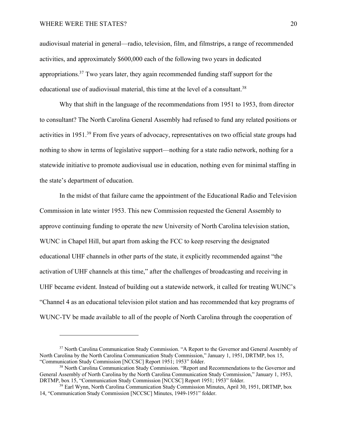audiovisual material in general—radio, television, film, and filmstrips, a range of recommended activities, and approximately \$600,000 each of the following two years in dedicated appropriations.<sup>37</sup> Two years later, they again recommended funding staff support for the educational use of audiovisual material, this time at the level of a consultant.<sup>38</sup>

Why that shift in the language of the recommendations from 1951 to 1953, from director to consultant? The North Carolina General Assembly had refused to fund any related positions or activities in 1951.39 From five years of advocacy, representatives on two official state groups had nothing to show in terms of legislative support—nothing for a state radio network, nothing for a statewide initiative to promote audiovisual use in education, nothing even for minimal staffing in the state's department of education.

In the midst of that failure came the appointment of the Educational Radio and Television Commission in late winter 1953. This new Commission requested the General Assembly to approve continuing funding to operate the new University of North Carolina television station, WUNC in Chapel Hill, but apart from asking the FCC to keep reserving the designated educational UHF channels in other parts of the state, it explicitly recommended against "the activation of UHF channels at this time," after the challenges of broadcasting and receiving in UHF became evident. Instead of building out a statewide network, it called for treating WUNC's "Channel 4 as an educational television pilot station and has recommended that key programs of WUNC-TV be made available to all of the people of North Carolina through the cooperation of

<sup>&</sup>lt;sup>37</sup> North Carolina Communication Study Commission. "A Report to the Governor and General Assembly of North Carolina by the North Carolina Communication Study Commission," January 1, 1951, DRTMP, box 15, "Communication Study Commission [NCCSC] Report 1951; 1953" folder.

<sup>38</sup> North Carolina Communication Study Commission. "Report and Recommendations to the Governor and General Assembly of North Carolina by the North Carolina Communication Study Commission," January 1, 1953, DRTMP, box 15, "Communication Study Commission [NCCSC] Report 1951; 1953" folder.

<sup>&</sup>lt;sup>39</sup> Earl Wynn, North Carolina Communication Study Commission Minutes, April 30, 1951, DRTMP, box 14, "Communication Study Commission [NCCSC] Minutes, 1949-1951" folder.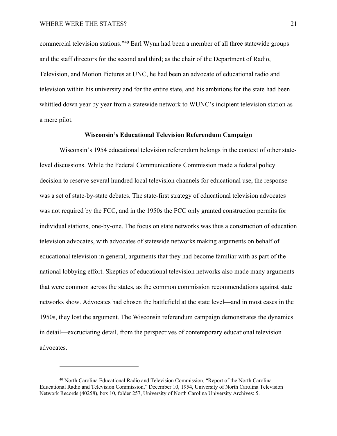commercial television stations."40 Earl Wynn had been a member of all three statewide groups and the staff directors for the second and third; as the chair of the Department of Radio, Television, and Motion Pictures at UNC, he had been an advocate of educational radio and television within his university and for the entire state, and his ambitions for the state had been whittled down year by year from a statewide network to WUNC's incipient television station as a mere pilot.

## **Wisconsin's Educational Television Referendum Campaign**

Wisconsin's 1954 educational television referendum belongs in the context of other statelevel discussions. While the Federal Communications Commission made a federal policy decision to reserve several hundred local television channels for educational use, the response was a set of state-by-state debates. The state-first strategy of educational television advocates was not required by the FCC, and in the 1950s the FCC only granted construction permits for individual stations, one-by-one. The focus on state networks was thus a construction of education television advocates, with advocates of statewide networks making arguments on behalf of educational television in general, arguments that they had become familiar with as part of the national lobbying effort. Skeptics of educational television networks also made many arguments that were common across the states, as the common commission recommendations against state networks show. Advocates had chosen the battlefield at the state level—and in most cases in the 1950s, they lost the argument. The Wisconsin referendum campaign demonstrates the dynamics in detail—excruciating detail, from the perspectives of contemporary educational television advocates.

<sup>40</sup> North Carolina Educational Radio and Television Commission, "Report of the North Carolina Educational Radio and Television Commission," December 10, 1954, University of North Carolina Television Network Records (40258), box 10, folder 257, University of North Carolina University Archives: 5.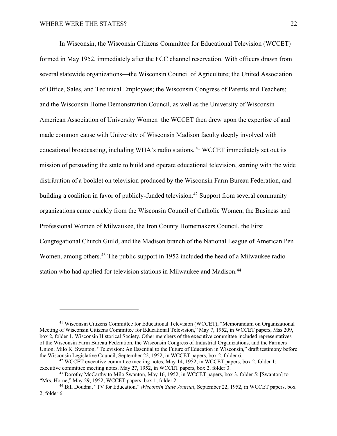In Wisconsin, the Wisconsin Citizens Committee for Educational Television (WCCET) formed in May 1952, immediately after the FCC channel reservation. With officers drawn from several statewide organizations—the Wisconsin Council of Agriculture; the United Association of Office, Sales, and Technical Employees; the Wisconsin Congress of Parents and Teachers; and the Wisconsin Home Demonstration Council, as well as the University of Wisconsin American Association of University Women–the WCCET then drew upon the expertise of and made common cause with University of Wisconsin Madison faculty deeply involved with educational broadcasting, including WHA's radio stations. <sup>41</sup> WCCET immediately set out its mission of persuading the state to build and operate educational television, starting with the wide distribution of a booklet on television produced by the Wisconsin Farm Bureau Federation, and building a coalition in favor of publicly-funded television. <sup>42</sup> Support from several community organizations came quickly from the Wisconsin Council of Catholic Women, the Business and Professional Women of Milwaukee, the Iron County Homemakers Council, the First Congregational Church Guild, and the Madison branch of the National League of American Pen Women, among others.43 The public support in 1952 included the head of a Milwaukee radio station who had applied for television stations in Milwaukee and Madison.<sup>44</sup>

<sup>41</sup> Wisconsin Citizens Committee for Educational Television (WCCET), "Memorandum on Organizational Meeting of Wisconsin Citizens Committee for Educational Television," May 7, 1952, in WCCET papers, Mss 209, box 2, folder 1, Wisconsin Historical Society. Other members of the executive committee included representatives of the Wisconsin Farm Bureau Federation, the Wisconsin Congress of Industrial Organizations, and the Farmers Union; Milo K. Swanton, "Television: An Essential to the Future of Education in Wisconsin," draft testimony before the Wisconsin Legislative Council, September 22, 1952, in WCCET papers, box 2, folder 6.

<sup>&</sup>lt;sup>42</sup> WCCET executive committee meeting notes, May 14, 1952, in WCCET papers, box 2, folder 1; executive committee meeting notes, May 27, 1952, in WCCET papers, box 2, folder 3.<br><sup>43</sup> Dorothy McCarthy to Milo Swanton, May 16, 1952, in WCCET papers, box 3, folder 5; [Swanton] to

<sup>&</sup>quot;Mrs. Horne," May 29, 1952, WCCET papers, box 1, folder 2.<br><sup>44</sup> Bill Doudna, "TV for Education," *Wisconsin State Journal*, September 22, 1952, in WCCET papers, box

<sup>2,</sup> folder 6.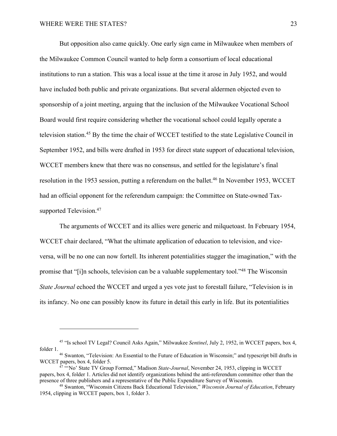But opposition also came quickly. One early sign came in Milwaukee when members of the Milwaukee Common Council wanted to help form a consortium of local educational institutions to run a station. This was a local issue at the time it arose in July 1952, and would have included both public and private organizations. But several aldermen objected even to sponsorship of a joint meeting, arguing that the inclusion of the Milwaukee Vocational School Board would first require considering whether the vocational school could legally operate a television station.45 By the time the chair of WCCET testified to the state Legislative Council in September 1952, and bills were drafted in 1953 for direct state support of educational television, WCCET members knew that there was no consensus, and settled for the legislature's final resolution in the 1953 session, putting a referendum on the ballet. <sup>46</sup> In November 1953, WCCET had an official opponent for the referendum campaign: the Committee on State-owned Taxsupported Television.<sup>47</sup>

The arguments of WCCET and its allies were generic and milquetoast. In February 1954, WCCET chair declared, "What the ultimate application of education to television, and viceversa, will be no one can now fortell. Its inherent potentialities stagger the imagination," with the promise that "[i]n schools, television can be a valuable supplementary tool."48 The Wisconsin *State Journal* echoed the WCCET and urged a yes vote just to forestall failure, "Television is in its infancy. No one can possibly know its future in detail this early in life. But its potentialities

<sup>45</sup> "Is school TV Legal? Council Asks Again," Milwaukee *Sentinel*, July 2, 1952, in WCCET papers, box 4,

folder 1.<br><sup>46</sup> Swanton, "Television: An Essential to the Future of Education in Wisconsin;" and typescript bill drafts in<br>WCCET papers, box 4, folder 5.

<sup>&</sup>lt;sup>47 "</sup>No' State TV Group Formed," Madison *State-Journal*, November 24, 1953, clipping in WCCET papers, box 4, folder 1. Articles did not identify organizations behind the anti-referendum committee other than the presence of three publishers and a representative of the Public Expenditure Survey of Wisconsin. 48 Swanton, "Wisconsin Citizens Back Educational Television," *Wisconsin Journal of Education*, February

<sup>1954,</sup> clipping in WCCET papers, box 1, folder 3.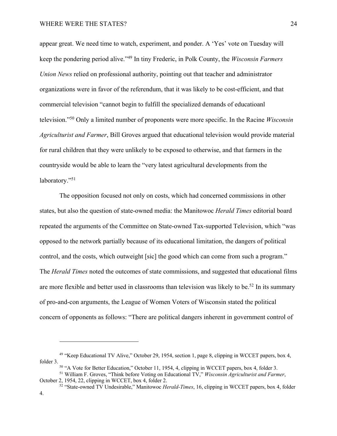appear great. We need time to watch, experiment, and ponder. A 'Yes' vote on Tuesday will keep the pondering period alive."49 In tiny Frederic, in Polk County, the *Wisconsin Farmers Union News* relied on professional authority, pointing out that teacher and administrator organizations were in favor of the referendum, that it was likely to be cost-efficient, and that commercial television "cannot begin to fulfill the specialized demands of educatioanl television."50 Only a limited number of proponents were more specific. In the Racine *Wisconsin Agriculturist and Farmer*, Bill Groves argued that educational television would provide material for rural children that they were unlikely to be exposed to otherwise, and that farmers in the countryside would be able to learn the "very latest agricultural developments from the laboratory."<sup>51</sup>

The opposition focused not only on costs, which had concerned commissions in other states, but also the question of state-owned media: the Manitowoc *Herald Times* editorial board repeated the arguments of the Committee on State-owned Tax-supported Television, which "was opposed to the network partially because of its educational limitation, the dangers of political control, and the costs, which outweight [sic] the good which can come from such a program." The *Herald Times* noted the outcomes of state commissions, and suggested that educational films are more flexible and better used in classrooms than television was likely to be.<sup>52</sup> In its summary of pro-and-con arguments, the League of Women Voters of Wisconsin stated the political concern of opponents as follows: "There are political dangers inherent in government control of

<sup>49</sup> "Keep Educational TV Alive," October 29, 1954, section 1, page 8, clipping in WCCET papers, box 4, folder 3. 50 "A Vote for Better Education," October 11, 1954, 4, clipping in WCCET papers, box 4, folder 3. 51 William F. Groves, "Think before Voting on Educational TV," *Wisconsin Agriculturist and Farmer*,

October 2, 1954, 22, clipping in WCCET, box 4, folder 2.

<sup>52</sup> "State-owned TV Undesirable," Manitowoc *Herald-Times*, 16, clipping in WCCET papers, box 4, folder 4.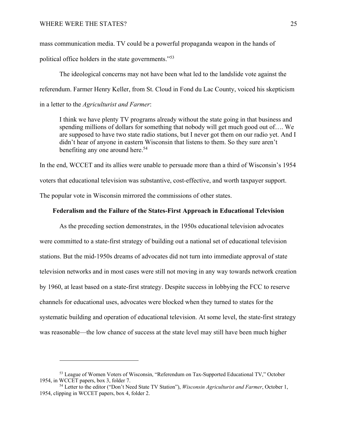mass communication media. TV could be a powerful propaganda weapon in the hands of

political office holders in the state governments."53

The ideological concerns may not have been what led to the landslide vote against the referendum. Farmer Henry Keller, from St. Cloud in Fond du Lac County, voiced his skepticism in a letter to the *Agriculturist and Farmer*:

I think we have plenty TV programs already without the state going in that business and spending millions of dollars for something that nobody will get much good out of…. We are supposed to have two state radio stations, but I never got them on our radio yet. And I didn't hear of anyone in eastern Wisconsin that listens to them. So they sure aren't benefiting any one around here.<sup>54</sup>

In the end, WCCET and its allies were unable to persuade more than a third of Wisconsin's 1954 voters that educational television was substantive, cost-effective, and worth taxpayer support. The popular vote in Wisconsin mirrored the commissions of other states.

#### **Federalism and the Failure of the States-First Approach in Educational Television**

As the preceding section demonstrates, in the 1950s educational television advocates were committed to a state-first strategy of building out a national set of educational television stations. But the mid-1950s dreams of advocates did not turn into immediate approval of state television networks and in most cases were still not moving in any way towards network creation by 1960, at least based on a state-first strategy. Despite success in lobbying the FCC to reserve channels for educational uses, advocates were blocked when they turned to states for the systematic building and operation of educational television. At some level, the state-first strategy was reasonable—the low chance of success at the state level may still have been much higher

<sup>&</sup>lt;sup>53</sup> League of Women Voters of Wisconsin, "Referendum on Tax-Supported Educational TV," October 1954, in WCCET papers, box 3, folder 7.

<sup>54</sup> Letter to the editor ("Don't Need State TV Station"), *Wisconsin Agriculturist and Farmer*, October 1, 1954, clipping in WCCET papers, box 4, folder 2.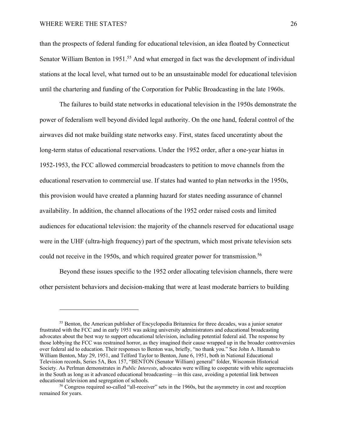## WHERE WERE THE STATES? 26

than the prospects of federal funding for educational television, an idea floated by Connecticut Senator William Benton in 1951.<sup>55</sup> And what emerged in fact was the development of individual stations at the local level, what turned out to be an unsustainable model for educational television until the chartering and funding of the Corporation for Public Broadcasting in the late 1960s.

The failures to build state networks in educational television in the 1950s demonstrate the power of federalism well beyond divided legal authority. On the one hand, federal control of the airwaves did not make building state networks easy. First, states faced unceratinty about the long-term status of educational reservations. Under the 1952 order, after a one-year hiatus in 1952-1953, the FCC allowed commercial broadcasters to petition to move channels from the educational reservation to commercial use. If states had wanted to plan networks in the 1950s, this provision would have created a planning hazard for states needing assurance of channel availability. In addition, the channel allocations of the 1952 order raised costs and limited audiences for educational television: the majority of the channels reserved for educational usage were in the UHF (ultra-high frequency) part of the spectrum, which most private television sets could not receive in the 1950s, and which required greater power for transmission.<sup>56</sup>

Beyond these issues specific to the 1952 order allocating television channels, there were other persistent behaviors and decision-making that were at least moderate barriers to building

<sup>&</sup>lt;sup>55</sup> Benton, the American publisher of Encyclopedia Britannica for three decades, was a junior senator frustrated with the FCC and in early 1951 was asking university administrators and educational broadcasting advocates about the best way to support educational television, including potential federal aid. The response by those lobbying the FCC was restrained horror, as they imagined their cause wrapped up in the broader controversies over federal aid to education. Their responses to Benton was, briefly, "no thank you." See John A. Hannah to William Benton, May 29, 1951, and Telford Taylor to Benton, June 6, 1951, both in National Educational Television records, Series 5A, Box 157, "BENTON (Senator William) general" folder, Wisconsin Historical Society. As Perlman demonstrates in *Public Interests*, advocates were willing to cooperate with white supremacists in the South as long as it advanced educational broadcasting—in this case, avoiding a potential link between

educational television and segregation of schools. 56 Congress required so-called "all-receiver" sets in the 1960s, but the asymmetry in cost and reception remained for years.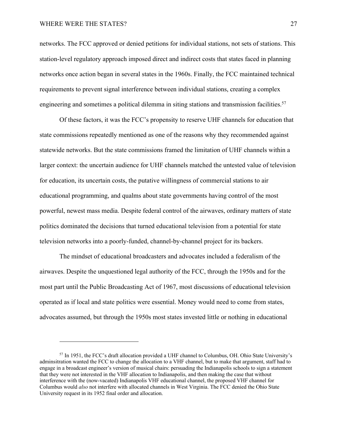## WHERE WERE THE STATES? 27

networks. The FCC approved or denied petitions for individual stations, not sets of stations. This station-level regulatory approach imposed direct and indirect costs that states faced in planning networks once action began in several states in the 1960s. Finally, the FCC maintained technical requirements to prevent signal interference between individual stations, creating a complex engineering and sometimes a political dilemma in siting stations and transmission facilities.<sup>57</sup>

Of these factors, it was the FCC's propensity to reserve UHF channels for education that state commissions repeatedly mentioned as one of the reasons why they recommended against statewide networks. But the state commissions framed the limitation of UHF channels within a larger context: the uncertain audience for UHF channels matched the untested value of television for education, its uncertain costs, the putative willingness of commercial stations to air educational programming, and qualms about state governments having control of the most powerful, newest mass media. Despite federal control of the airwaves, ordinary matters of state politics dominated the decisions that turned educational television from a potential for state television networks into a poorly-funded, channel-by-channel project for its backers.

The mindset of educational broadcasters and advocates included a federalism of the airwaves. Despite the unquestioned legal authority of the FCC, through the 1950s and for the most part until the Public Broadcasting Act of 1967, most discussions of educational television operated as if local and state politics were essential. Money would need to come from states, advocates assumed, but through the 1950s most states invested little or nothing in educational

<sup>57</sup> In 1951, the FCC's draft allocation provided a UHF channel to Columbus, OH. Ohio State University's adminsitration wanted the FCC to change the allocation to a VHF channel, but to make that argument, staff had to engage in a broadcast engineer's version of musical chairs: persuading the Indianapolis schools to sign a statement that they were not interested in the VHF allocation to Indianapolis, and then making the case that without interference with the (now-vacated) Indianapolis VHF educational channel, the proposed VHF channel for Columbus would *also* not interfere with allocated channels in West Virginia. The FCC denied the Ohio State University request in its 1952 final order and allocation.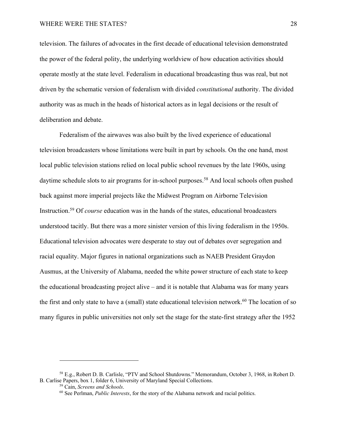## WHERE WERE THE STATES? 28

television. The failures of advocates in the first decade of educational television demonstrated the power of the federal polity, the underlying worldview of how education activities should operate mostly at the state level. Federalism in educational broadcasting thus was real, but not driven by the schematic version of federalism with divided *constitutional* authority. The divided authority was as much in the heads of historical actors as in legal decisions or the result of deliberation and debate.

Federalism of the airwaves was also built by the lived experience of educational television broadcasters whose limitations were built in part by schools. On the one hand, most local public television stations relied on local public school revenues by the late 1960s, using daytime schedule slots to air programs for in-school purposes.<sup>58</sup> And local schools often pushed back against more imperial projects like the Midwest Program on Airborne Television Instruction.59 Of *course* education was in the hands of the states, educational broadcasters understood tacitly. But there was a more sinister version of this living federalism in the 1950s. Educational television advocates were desperate to stay out of debates over segregation and racial equality. Major figures in national organizations such as NAEB President Graydon Ausmus, at the University of Alabama, needed the white power structure of each state to keep the educational broadcasting project alive – and it is notable that Alabama was for many years the first and only state to have a (small) state educational television network.<sup>60</sup> The location of so many figures in public universities not only set the stage for the state-first strategy after the 1952

<sup>58</sup> E.g., Robert D. B. Carlisle, "PTV and School Shutdowns." Memorandum, October 3, 1968, in Robert D. B. Carlise Papers, box 1, folder 6, University of Maryland Special Collections.

<sup>&</sup>lt;sup>59</sup> Cain, *Screens and Schools*.<br><sup>60</sup> See Perlman, *Public Interests*, for the story of the Alabama network and racial politics.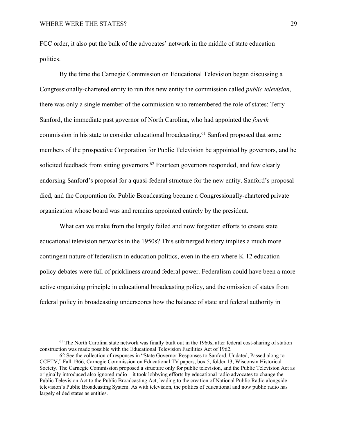FCC order, it also put the bulk of the advocates' network in the middle of state education politics.

By the time the Carnegie Commission on Educational Television began discussing a Congressionally-chartered entity to run this new entity the commission called *public television*, there was only a single member of the commission who remembered the role of states: Terry Sanford, the immediate past governor of North Carolina, who had appointed the *fourth* commission in his state to consider educational broadcasting. <sup>61</sup> Sanford proposed that some members of the prospective Corporation for Public Television be appointed by governors, and he solicited feedback from sitting governors.<sup>62</sup> Fourteen governors responded, and few clearly endorsing Sanford's proposal for a quasi-federal structure for the new entity. Sanford's proposal died, and the Corporation for Public Broadcasting became a Congressionally-chartered private organization whose board was and remains appointed entirely by the president.

What can we make from the largely failed and now forgotten efforts to create state educational television networks in the 1950s? This submerged history implies a much more contingent nature of federalism in education politics, even in the era where K-12 education policy debates were full of prickliness around federal power. Federalism could have been a more active organizing principle in educational broadcasting policy, and the omission of states from federal policy in broadcasting underscores how the balance of state and federal authority in

<sup>&</sup>lt;sup>61</sup> The North Carolina state network was finally built out in the 1960s, after federal cost-sharing of station construction was made possible with the Educational Television Facilities Act of 1962.

<sup>62</sup> See the collection of responses in "State Governor Responses to Sanford, Undated, Passed along to CCETV," Fall 1966, Carnegie Commission on Educational TV papers, box 5, folder 13, Wisconsin Historical Society. The Carnegie Commission proposed a structure only for public television, and the Public Television Act as originally introduced also ignored radio – it took lobbying efforts by educational radio advocates to change the Public Television Act to the Public Broadcasting Act, leading to the creation of National Public Radio alongside television's Public Broadcasting System. As with television, the politics of educational and now public radio has largely elided states as entities.